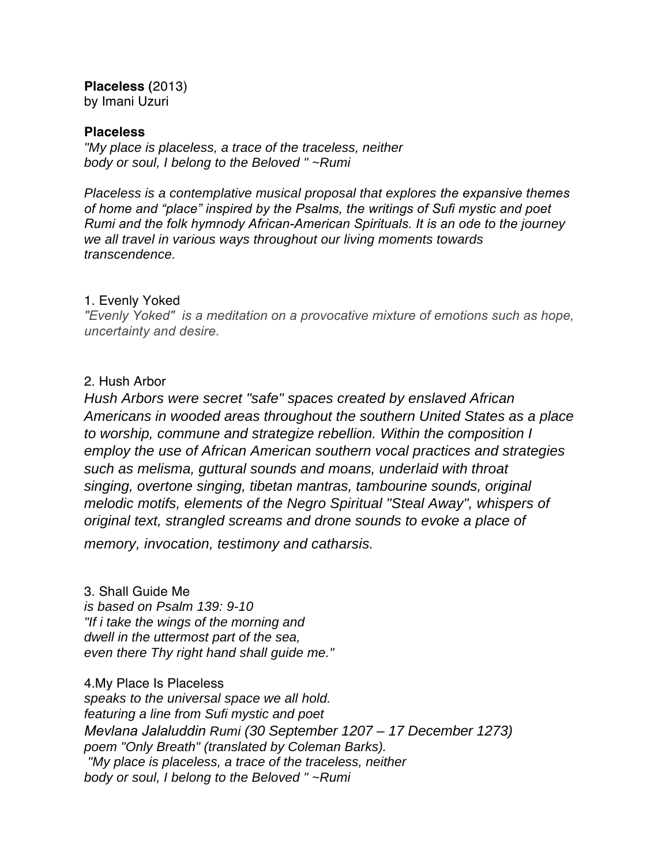**Placeless (**2013) by Imani Uzuri

## **Placeless**

"My place is placeless, a trace of the traceless, neither body or soul, I belong to the Beloved " ~Rumi

Placeless is a contemplative musical proposal that explores *the expansive themes of home and "place" inspired by the Psalms, the writings of Sufi mystic and poet Rumi and the folk hymnody African-American Spirituals. It is an ode to the* journey we all travel in various ways throughout our living moments towards transcendence.

## 1. Evenly Yoked

*"Evenly Yoked" is a meditation on a provocative mixture of emotions such as hope, uncertainty and desire.*

## 2. Hush Arbor

Hush Arbors were secret "safe" spaces created by enslaved African Americans in wooded areas throughout the southern United States as a place to worship, commune and strategize rebellion. Within the composition I employ the use of African American southern vocal practices and strategies such as melisma, guttural sounds and moans, underlaid with throat singing, overtone singing, tibetan mantras, tambourine sounds, original melodic motifs, elements of the Negro Spiritual "Steal Away", whispers of original text, strangled screams and drone sounds to evoke a place of

memory, invocation, testimony and catharsis.

3. Shall Guide Me is based on Psalm 139: 9-10 "If i take the wings of the morning and dwell in the uttermost part of the sea, even there Thy right hand shall guide me."

4.My Place Is Placeless speaks to the universal space we all hold. featuring a line from Sufi mystic and poet *Mevlana Jalaluddin* Rumi (30 September 1207 – 17 December 1273) poem "Only Breath" (translated by Coleman Barks). "My place is placeless, a trace of the traceless, neither body or soul, I belong to the Beloved " ~Rumi